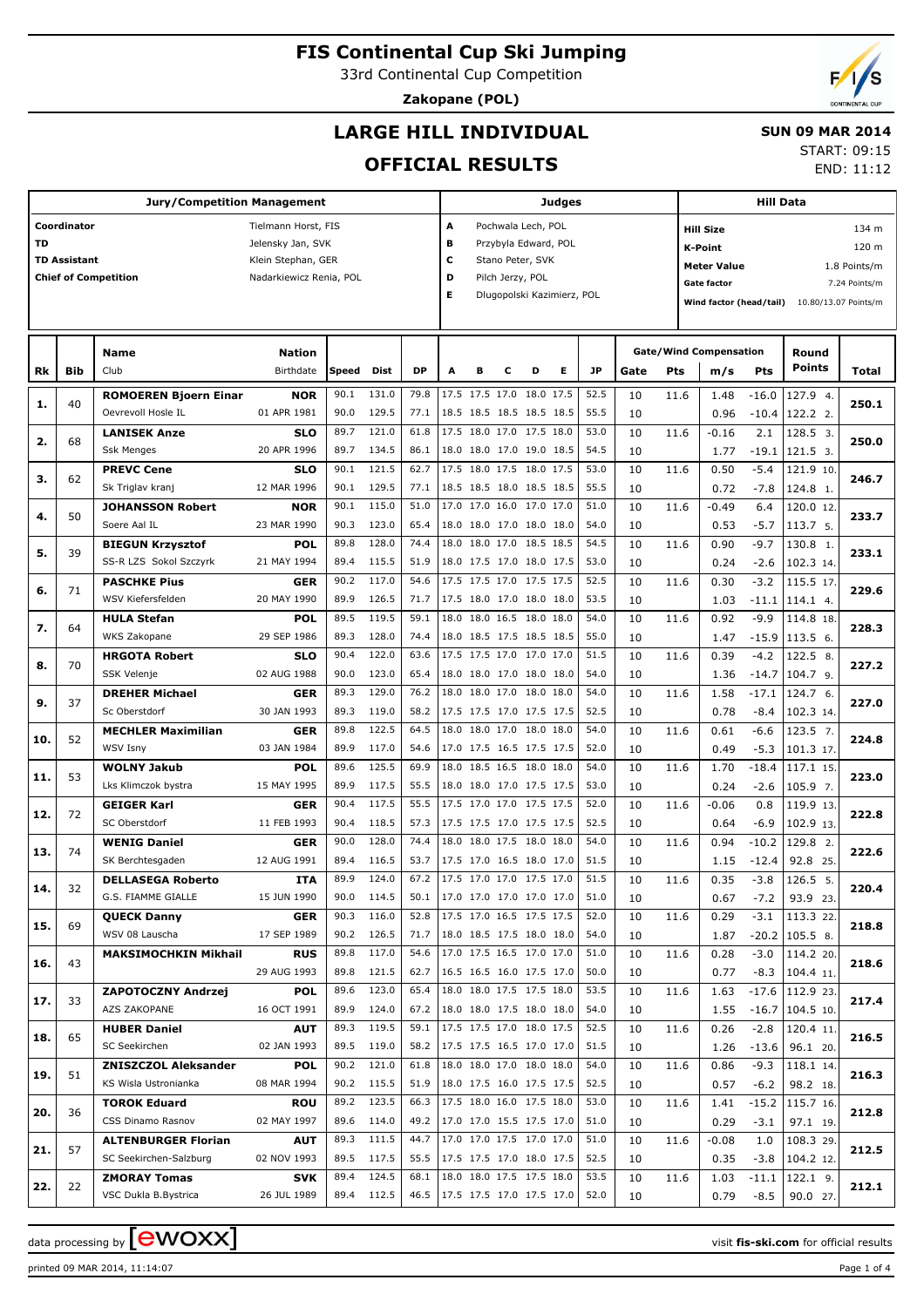33rd Continental Cup Competition

**Zakopane (POL)**

# **LARGE HILL INDIVIDUAL**

 **SUN 09 MAR 2014**

# **OFFICIAL RESULTS**

START: 09:15 END: 11:12

|           |                     | <b>Jury/Competition Management</b>       |                           |              |                     |                                 |   |                                                       |   |                            | <b>Judges</b> |              |          |      |                                                 |                   | <b>Hill Data</b>               |               |  |  |
|-----------|---------------------|------------------------------------------|---------------------------|--------------|---------------------|---------------------------------|---|-------------------------------------------------------|---|----------------------------|---------------|--------------|----------|------|-------------------------------------------------|-------------------|--------------------------------|---------------|--|--|
|           | Coordinator         |                                          | Tielmann Horst, FIS       |              |                     |                                 | Α |                                                       |   | Pochwala Lech, POL         |               |              |          |      | <b>Hill Size</b>                                |                   |                                | 134 m         |  |  |
| <b>TD</b> |                     |                                          | Jelensky Jan, SVK         |              |                     |                                 | в |                                                       |   | Przybyla Edward, POL       |               |              |          |      | K-Point                                         |                   |                                | 120 m         |  |  |
|           | <b>TD Assistant</b> |                                          | Klein Stephan, GER        |              |                     |                                 | c |                                                       |   | Stano Peter, SVK           |               |              |          |      | <b>Meter Value</b>                              |                   |                                | 1.8 Points/m  |  |  |
|           |                     | <b>Chief of Competition</b>              | Nadarkiewicz Renia, POL   |              |                     |                                 | D |                                                       |   | Pilch Jerzy, POL           |               |              |          |      | Gate factor                                     |                   |                                | 7.24 Points/m |  |  |
|           |                     |                                          |                           |              |                     |                                 | Е |                                                       |   | Dlugopolski Kazimierz, POL |               |              |          |      | Wind factor (head/tail)<br>10.80/13.07 Points/m |                   |                                |               |  |  |
|           |                     |                                          |                           |              |                     |                                 |   |                                                       |   |                            |               |              |          |      |                                                 |                   |                                |               |  |  |
|           |                     |                                          |                           |              |                     |                                 |   |                                                       |   |                            |               |              |          |      |                                                 |                   |                                |               |  |  |
|           |                     | Name                                     | <b>Nation</b>             |              |                     |                                 |   |                                                       |   |                            |               |              |          |      | <b>Gate/Wind Compensation</b>                   |                   | Round<br>Points                |               |  |  |
| Rk        | Bib                 | Club                                     | Birthdate                 | Speed        | Dist                | <b>DP</b>                       | А | в                                                     | с | D                          | Е             | JP           | Gate     | Pts  | m/s                                             | Pts               |                                | Total         |  |  |
| 1.        | 40                  | <b>ROMOEREN Bjoern Einar</b>             | <b>NOR</b>                | 90.1         | 131.0               | 79.8                            |   | 17.5 17.5 17.0 18.0 17.5                              |   |                            |               | 52.5         | 10       | 11.6 | 1.48                                            | $-16.0$           | 127.9 4.                       | 250.1         |  |  |
|           |                     | Oevrevoll Hosle IL                       | 01 APR 1981               | 90.0         | 129.5               | 77.1                            |   | 18.5 18.5 18.5 18.5 18.5                              |   |                            |               | 55.5         | 10       |      | 0.96                                            | $-10.4$           | 122.2 2.                       |               |  |  |
| 2.        | 68                  | <b>LANISEK Anze</b><br><b>Ssk Menges</b> | <b>SLO</b><br>20 APR 1996 | 89.7<br>89.7 | 121.0<br>134.5      | 61.8<br>86.1                    |   | 17.5 18.0 17.0 17.5 18.0<br>18.0 18.0 17.0 19.0 18.5  |   |                            |               | 53.0<br>54.5 | 10<br>10 | 11.6 | $-0.16$<br>1.77                                 | 2.1<br>$-19.1$    | 128.5 3.<br>121.5 3.           | 250.0         |  |  |
|           |                     | <b>PREVC Cene</b>                        | <b>SLO</b>                | 90.1         | 121.5               | 62.7                            |   | 17.5 18.0 17.5 18.0 17.5                              |   |                            |               | 53.0         | 10       | 11.6 | 0.50                                            | $-5.4$            | 121.9 10                       |               |  |  |
| з.        | 62                  | Sk Triglav kranj                         | 12 MAR 1996               | 90.1         | 129.5               | 77.1                            |   | 18.5 18.5 18.0 18.5 18.5                              |   |                            |               | 55.5         | 10       |      | 0.72                                            | $-7.8$            | 124.8 1.                       | 246.7         |  |  |
|           |                     | <b>JOHANSSON Robert</b>                  | <b>NOR</b>                | 90.1         | 115.0               | 51.0                            |   | 17.0 17.0 16.0 17.0 17.0                              |   |                            |               | 51.0         | 10       | 11.6 | $-0.49$                                         | 6.4               | 120.0 12                       |               |  |  |
| 4.        | 50                  | Soere Aal IL                             | 23 MAR 1990               | 90.3         | 123.0               | 65.4                            |   | 18.0 18.0 17.0 18.0 18.0                              |   |                            |               | 54.0         | 10       |      | 0.53                                            | $-5.7$            | 113.7 5.                       | 233.7         |  |  |
|           |                     | <b>BIEGUN Krzysztof</b>                  | <b>POL</b>                | 89.8         | 128.0               | 74.4                            |   | 18.0 18.0 17.0 18.5 18.5                              |   |                            |               | 54.5         | 10       | 11.6 | 0.90                                            | $-9.7$            | 130.8 1.                       |               |  |  |
| 5.        | 39                  | SS-R LZS Sokol Szczyrk                   | 21 MAY 1994               | 89.4         | 115.5               | 51.9                            |   | 18.0 17.5 17.0 18.0 17.5                              |   |                            |               | 53.0         | 10       |      | 0.24                                            | $-2.6$            | 102.3 14.                      | 233.1         |  |  |
| 6.        | 71                  | <b>PASCHKE Pius</b>                      | <b>GER</b>                | 90.2         | 117.0               | 54.6                            |   | 17.5 17.5 17.0 17.5 17.5                              |   |                            |               | 52.5         | 10       | 11.6 | 0.30                                            | $-3.2$            | 115.5 17                       | 229.6         |  |  |
|           |                     | WSV Kiefersfelden                        | 20 MAY 1990               | 89.9         | 126.5               | 71.7                            |   | 17.5 18.0 17.0 18.0 18.0                              |   |                            |               | 53.5         | 10       |      | 1.03                                            | $-11.1$           | 114.1 4.                       |               |  |  |
| 7.        | 64                  | <b>HULA Stefan</b>                       | <b>POL</b>                | 89.5         | 119.5               | 59.1                            |   | 18.0 18.0 16.5 18.0 18.0                              |   |                            |               | 54.0         | 10       | 11.6 | 0.92                                            | $-9.9$            | 114.8 18                       | 228.3         |  |  |
|           |                     | WKS Zakopane                             | 29 SEP 1986               | 89.3         | 128.0               | 74.4                            |   | 18.0 18.5 17.5 18.5 18.5                              |   |                            |               | 55.0         | 10       |      | 1.47                                            | $-15.9$           | 113.5 6.                       |               |  |  |
| 8.        | 70                  | <b>HRGOTA Robert</b>                     | <b>SLO</b>                | 90.4         | 122.0               | 63.6                            |   | 17.5 17.5 17.0 17.0 17.0                              |   |                            |               | 51.5         | 10       | 11.6 | 0.39                                            | $-4.2$            | 122.5 8.                       | 227.2         |  |  |
|           |                     | SSK Velenje                              | 02 AUG 1988               | 90.0         | 123.0<br>129.0      | 65.4                            |   | 18.0 18.0 17.0 18.0 18.0                              |   |                            |               | 54.0         | 10       |      | 1.36                                            | $-14.7$           | 104.7 9.                       |               |  |  |
| 9.        | 37                  | <b>DREHER Michael</b><br>Sc Oberstdorf   | <b>GER</b><br>30 JAN 1993 | 89.3<br>89.3 | 119.0               | 76.2<br>58.2                    |   | 18.0 18.0 17.0 18.0 18.0<br>17.5 17.5 17.0 17.5 17.5  |   |                            |               | 54.0<br>52.5 | 10<br>10 | 11.6 | 1.58<br>0.78                                    | $-17.1$<br>$-8.4$ | 124.7 6.<br>102.3 14.          | 227.0         |  |  |
|           |                     | <b>MECHLER Maximilian</b>                | <b>GER</b>                | 89.8         | 122.5               | 64.5                            |   | 18.0 18.0 17.0 18.0 18.0                              |   |                            |               | 54.0         | 10       | 11.6 | 0.61                                            | $-6.6$            | 123.5 7.                       |               |  |  |
| 10.       | 52                  | <b>WSV Isny</b>                          | 03 JAN 1984               | 89.9         | 117.0               | 54.6                            |   | 17.0 17.5 16.5 17.5 17.5                              |   |                            |               | 52.0         | 10       |      | 0.49                                            | $-5.3$            | 101.3 17.                      | 224.8         |  |  |
|           |                     | <b>WOLNY Jakub</b>                       | <b>POL</b>                | 89.6         | 125.5               | 69.9                            |   | 18.0 18.5 16.5 18.0 18.0                              |   |                            |               | 54.0         | 10       | 11.6 | 1.70                                            | $-18.4$           | 117.1 15                       |               |  |  |
| 11.       | 53                  | Lks Klimczok bystra                      | 15 MAY 1995               | 89.9         | 117.5               | 55.5                            |   | 18.0 18.0 17.0 17.5 17.5                              |   |                            |               | 53.0         | 10       |      | 0.24                                            | $-2.6$            | 105.9 7.                       | 223.0         |  |  |
| 12.       | 72                  | <b>GEIGER Karl</b>                       | <b>GER</b>                | 90.4         | 117.5               | 55.5                            |   | 17.5 17.0 17.0 17.5 17.5                              |   |                            |               | 52.0         | 10       | 11.6 | $-0.06$                                         | 0.8               | 119.9 13                       | 222.8         |  |  |
|           |                     | SC Oberstdorf                            | 11 FEB 1993               | 90.4         | 118.5               | 57.3                            |   | 17.5 17.5 17.0 17.5 17.5                              |   |                            |               | 52.5         | 10       |      | 0.64                                            | $-6.9$            | 102.9 13.                      |               |  |  |
| 13.       | 74                  | <b>WENIG Daniel</b>                      | <b>GER</b>                | 90.0         | 128.0               | 74.4                            |   | 18.0 18.0 17.5 18.0 18.0                              |   |                            |               | 54.0         | 10       | 11.6 | 0.94                                            | $-10.2$           | 129.8 2.                       | 222.6         |  |  |
|           |                     | SK Berchtesgaden                         | 12 AUG 1991               | 89.4         | 116.5               | 53.7                            |   | 17.5 17.0 16.5 18.0 17.0                              |   |                            |               | 51.5         | 10       |      | 1.15                                            | $-12.4$           | 92.8 25.                       |               |  |  |
| 14.       | 32                  | <b>DELLASEGA Roberto</b>                 | <b>ITA</b>                | 89.9         | 124.0               | 67.2                            |   | 17.5 17.0 17.0 17.5 17.0                              |   |                            |               | 51.5         | 10       | 11.6 | 0.35                                            | $-3.8$            | 126.5 5.                       | 220.4         |  |  |
|           |                     | G.S. FIAMME GIALLE                       | 15 JUN 1990               | 90.0         | 114.5               |                                 |   | 50.1   17.0 17.0 17.0 17.0 17.0                       |   |                            |               | 51.0         | 10       |      | 0.67                                            | -7.2              | 93.9 23.                       |               |  |  |
| 15.       | 69                  | <b>QUECK Danny</b><br>WSV 08 Lauscha     | <b>GER</b><br>17 SEP 1989 | 90.3         | 116.0<br>90.2 126.5 | 52.8<br>71.7                    |   | 17.5 17.0 16.5 17.5 17.5<br> 18.0 18.5 17.5 18.0 18.0 |   |                            |               | 52.0<br>54.0 | 10<br>10 | 11.6 | 0.29                                            | $-3.1$            | 113.3 22                       | 218.8         |  |  |
|           |                     | <b>MAKSIMOCHKIN Mikhail</b>              | <b>RUS</b>                | 89.8         | 117.0               | 54.6                            |   | 17.0 17.5 16.5 17.0 17.0                              |   |                            |               | 51.0         | 10       | 11.6 | 1.87<br>0.28                                    | $-3.0$            | $-20.2$   105.5 8.<br>114.2 20 |               |  |  |
| 16.       | 43                  |                                          | 29 AUG 1993               | 89.8         | 121.5               | 62.7                            |   | 16.5 16.5 16.0 17.5 17.0                              |   |                            |               | 50.0         | 10       |      | 0.77                                            | -8.3              | 104.4 11.                      | 218.6         |  |  |
|           |                     | <b>ZAPOTOCZNY Andrzej</b>                | <b>POL</b>                | 89.6         | 123.0               | 65.4                            |   | 18.0 18.0 17.5 17.5 18.0                              |   |                            |               | 53.5         | 10       | 11.6 | 1.63                                            |                   | $-17.6$   112.9 23             |               |  |  |
| 17.       | 33                  | AZS ZAKOPANE                             | 16 OCT 1991               |              | 89.9 124.0          | 67.2                            |   | 18.0 18.0 17.5 18.0 18.0                              |   |                            |               | 54.0         | 10       |      | 1.55                                            |                   | $-16.7$   104.5 10.            | 217.4         |  |  |
|           |                     | <b>HUBER Daniel</b>                      | <b>AUT</b>                | 89.3         | 119.5               | 59.1                            |   | 17.5 17.5 17.0 18.0 17.5                              |   |                            |               | 52.5         | 10       | 11.6 | 0.26                                            | $-2.8$            | 120.4 11                       |               |  |  |
| 18.       | 65                  | SC Seekirchen                            | 02 JAN 1993               |              | 89.5 119.0          | 58.2                            |   | 17.5 17.5 16.5 17.0 17.0                              |   |                            |               | 51.5         | 10       |      | 1.26                                            | $-13.6$           | 96.1 20.                       | 216.5         |  |  |
|           |                     | <b>ZNISZCZOL Aleksander</b>              | <b>POL</b>                | 90.2         | 121.0               | 61.8                            |   | 18.0 18.0 17.0 18.0 18.0                              |   |                            |               | 54.0         | 10       | 11.6 | 0.86                                            | $-9.3$            | 118.1 14                       |               |  |  |
| 19.       | 51                  | KS Wisla Ustronianka                     | 08 MAR 1994               |              | 90.2 115.5          | 51.9                            |   | 18.0 17.5 16.0 17.5 17.5                              |   |                            |               | 52.5         | 10       |      | 0.57                                            | $-6.2$            | 98.2 18.                       | 216.3         |  |  |
| 20.       | 36                  | <b>TOROK Eduard</b>                      | ROU                       | 89.2         | 123.5               | 66.3                            |   | 17.5 18.0 16.0 17.5 18.0                              |   |                            |               | 53.0         | 10       | 11.6 | 1.41                                            | $-15.2$           | 115.7 16                       | 212.8         |  |  |
|           |                     | CSS Dinamo Rasnov                        | 02 MAY 1997               |              | 89.6 114.0          | 49.2                            |   | 17.0 17.0 15.5 17.5 17.0                              |   |                            |               | 51.0         | 10       |      | 0.29                                            | $-3.1$            | 97.1 19.                       |               |  |  |
| 21.       | 57                  | <b>ALTENBURGER Florian</b>               | <b>AUT</b>                | 89.3         | 111.5               | 44.7                            |   | 17.0 17.0 17.5 17.0 17.0                              |   |                            |               | 51.0         | 10       | 11.6 | $-0.08$                                         | 1.0               | 108.3 29                       | 212.5         |  |  |
|           |                     | SC Seekirchen-Salzburg                   | 02 NOV 1993               |              | 89.5 117.5          | 55.5                            |   | 17.5 17.5 17.0 18.0 17.5                              |   |                            |               | 52.5         | 10       |      | 0.35                                            | $-3.8$            | 104.2 12.                      |               |  |  |
| 22.       | 22                  | <b>ZMORAY Tomas</b>                      | <b>SVK</b>                | 89.4         | 124.5               | 68.1                            |   | 18.0 18.0 17.5 17.5 18.0                              |   |                            |               | 53.5         | 10       | 11.6 | 1.03                                            | $-11.1$           | 122.1 9.                       | 212.1         |  |  |
|           |                     | VSC Dukla B.Bystrica                     | 26 JUL 1989               |              | 89.4 112.5          | 46.5   17.5 17.5 17.0 17.5 17.0 |   |                                                       |   |                            |               | 52.0         | 10       |      | 0.79                                            | $-8.5$            | 90.0 27.                       |               |  |  |

data processing by **CWOXX**  $\blacksquare$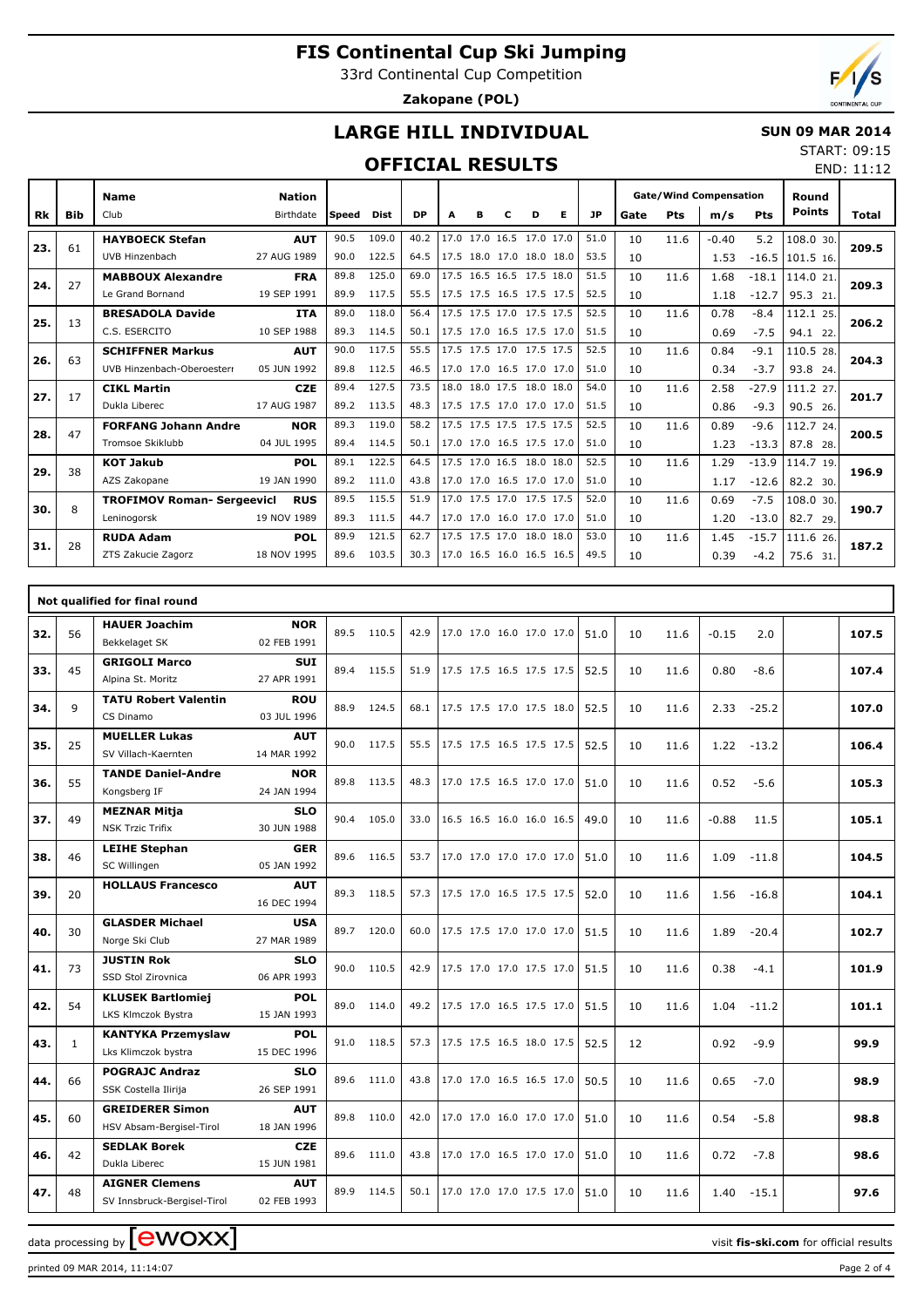33rd Continental Cup Competition

**Zakopane (POL)**

END: 11:12

# **LARGE HILL INDIVIDUAL**

#### **SUN 09 MAR 2014** START: 09:15

## **OFFICIAL RESULTS**

|           |            | <b>Name</b>                       | <b>Nation</b> |        |             |           |   |   |                          |   |                          |           |      |            | <b>Gate/Wind Compensation</b> |         | Round         |              |
|-----------|------------|-----------------------------------|---------------|--------|-------------|-----------|---|---|--------------------------|---|--------------------------|-----------|------|------------|-------------------------------|---------|---------------|--------------|
| <b>Rk</b> | <b>Bib</b> | Club                              | Birthdate     | lSpeed | <b>Dist</b> | <b>DP</b> | A | в | c                        | D | Е                        | <b>JP</b> | Gate | <b>Pts</b> | m/s                           | Pts     | <b>Points</b> | <b>Total</b> |
| 23.       | 61         | <b>HAYBOECK Stefan</b>            | <b>AUT</b>    | 90.5   | 109.0       | 40.2      |   |   | 17.0 17.0 16.5 17.0 17.0 |   |                          | 51.0      | 10   | 11.6       | $-0.40$                       | 5.2     | 108.0 30.     | 209.5        |
|           |            | UVB Hinzenbach                    | 27 AUG 1989   | 90.0   | 122.5       | 64.5      |   |   |                          |   | 17.5 18.0 17.0 18.0 18.0 | 53.5      | 10   |            | 1.53                          | $-16.5$ | 101.5 16.     |              |
| 24.       | 27         | <b>MABBOUX Alexandre</b>          | <b>FRA</b>    | 89.8   | 125.0       | 69.0      |   |   | 17.5 16.5 16.5 17.5 18.0 |   |                          | 51.5      | 10   | 11.6       | 1.68                          | $-18.1$ | 114.0 21.     | 209.3        |
|           |            | Le Grand Bornand                  | 19 SEP 1991   | 89.9   | 117.5       | 55.5      |   |   |                          |   | 17.5 17.5 16.5 17.5 17.5 | 52.5      | 10   |            | 1.18                          | $-12.7$ | 95.3 21.      |              |
| 25.       | 13         | <b>BRESADOLA Davide</b>           | <b>ITA</b>    | 89.0   | 118.0       | 56.4      |   |   | 17.5 17.5 17.0 17.5 17.5 |   |                          | 52.5      | 10   | 11.6       | 0.78                          | $-8.4$  | 112.1 25.     | 206.2        |
|           |            | C.S. ESERCITO                     | 10 SEP 1988   | 89.3   | 114.5       | 50.1      |   |   |                          |   | 17.5 17.0 16.5 17.5 17.0 | 51.5      | 10   |            | 0.69                          | $-7.5$  | 94.1 22.      |              |
| 26.       | 63         | <b>SCHIFFNER Markus</b>           | <b>AUT</b>    | 90.0   | 117.5       | 55.5      |   |   |                          |   | 17.5 17.5 17.0 17.5 17.5 | 52.5      | 10   | 11.6       | 0.84                          | $-9.1$  | 110.5 28.     | 204.3        |
|           |            | UVB Hinzenbach-Oberoesterr        | 05 JUN 1992   | 89.8   | 112.5       | 46.5      |   |   | 17.0 17.0 16.5 17.0 17.0 |   |                          | 51.0      | 10   |            | 0.34                          | $-3.7$  | 93.8 24.      |              |
| 27.       | 17         | <b>CIKL Martin</b>                | <b>CZE</b>    | 89.4   | 127.5       | 73.5      |   |   | 18.0 18.0 17.5 18.0 18.0 |   |                          | 54.0      | 10   | 11.6       | 2.58                          | $-27.9$ | 111.2 27.     | 201.7        |
|           |            | Dukla Liberec                     | 17 AUG 1987   | 89.2   | 113.5       | 48.3      |   |   |                          |   | 17.5 17.5 17.0 17.0 17.0 | 51.5      | 10   |            | 0.86                          | $-9.3$  | 90.5 26.      |              |
| 28.       | 47         | <b>FORFANG Johann Andre</b>       | <b>NOR</b>    | 89.3   | 119.0       | 58.2      |   |   | 17.5 17.5 17.5 17.5 17.5 |   |                          | 52.5      | 10   | 11.6       | 0.89                          | $-9.6$  | 112.7 24.     | 200.5        |
|           |            | Tromsoe Skiklubb                  | 04 JUL 1995   | 89.4   | 114.5       | 50.1      |   |   | 17.0 17.0 16.5 17.5 17.0 |   |                          | 51.0      | 10   |            | 1.23                          | $-13.3$ | 87.8 28.      |              |
| 29.       | 38         | <b>KOT Jakub</b>                  | <b>POL</b>    | 89.1   | 122.5       | 64.5      |   |   | 17.5 17.0 16.5 18.0 18.0 |   |                          | 52.5      | 10   | 11.6       | 1.29                          | $-13.9$ | 114.7 19.     | 196.9        |
|           |            | AZS Zakopane                      | 19 JAN 1990   | 89.2   | 111.0       | 43.8      |   |   | 17.0 17.0 16.5 17.0 17.0 |   |                          | 51.0      | 10   |            | 1.17                          | $-12.6$ | 82.2 30.      |              |
| 30.       | 8          | <b>TROFIMOV Roman- Sergeevicl</b> | <b>RUS</b>    | 89.5   | 115.5       | 51.9      |   |   | 17.0 17.5 17.0 17.5 17.5 |   |                          | 52.0      | 10   | 11.6       | 0.69                          | $-7.5$  | 108.0 30.     | 190.7        |
|           |            | Leninogorsk                       | 19 NOV 1989   | 89.3   | 111.5       | 44.7      |   |   |                          |   | 17.0 17.0 16.0 17.0 17.0 | 51.0      | 10   |            | 1.20                          | $-13.0$ | 82.7 29.      |              |
| 31.       | 28         | <b>RUDA Adam</b>                  | <b>POL</b>    | 89.9   | 121.5       | 62.7      |   |   | 17.5 17.5 17.0 18.0 18.0 |   |                          | 53.0      | 10   | 11.6       | 1.45                          | $-15.7$ | 111.6 26.     | 187.2        |
|           |            | ZTS Zakucie Zagorz                | 18 NOV 1995   | 89.6   | 103.5       | 30.3      |   |   |                          |   | 17.0 16.5 16.0 16.5 16.5 | 49.5      | 10   |            | 0.39                          | $-4.2$  | 75.6 31.      |              |

|     |              | Not qualified for final round                        |                           |      |            |      |                          |  |      |    |      |         |         |       |
|-----|--------------|------------------------------------------------------|---------------------------|------|------------|------|--------------------------|--|------|----|------|---------|---------|-------|
| 32. | 56           | <b>HAUER Joachim</b><br>Bekkelaget SK                | <b>NOR</b><br>02 FEB 1991 | 89.5 | 110.5      | 42.9 | 17.0 17.0 16.0 17.0 17.0 |  | 51.0 | 10 | 11.6 | $-0.15$ | 2.0     | 107.5 |
| 33. | 45           | <b>GRIGOLI Marco</b><br>Alpina St. Moritz            | <b>SUI</b><br>27 APR 1991 | 89.4 | 115.5      | 51.9 | 17.5 17.5 16.5 17.5 17.5 |  | 52.5 | 10 | 11.6 | 0.80    | $-8.6$  | 107.4 |
| 34. | 9            | <b>TATU Robert Valentin</b><br>CS Dinamo             | <b>ROU</b><br>03 JUL 1996 | 88.9 | 124.5      | 68.1 | 17.5 17.5 17.0 17.5 18.0 |  | 52.5 | 10 | 11.6 | 2.33    | $-25.2$ | 107.0 |
| 35. | 25           | <b>MUELLER Lukas</b><br>SV Villach-Kaernten          | <b>AUT</b><br>14 MAR 1992 | 90.0 | 117.5      | 55.5 | 17.5 17.5 16.5 17.5 17.5 |  | 52.5 | 10 | 11.6 | 1.22    | $-13.2$ | 106.4 |
| 36. | 55           | <b>TANDE Daniel-Andre</b><br>Kongsberg IF            | <b>NOR</b><br>24 JAN 1994 |      | 89.8 113.5 | 48.3 | 17.0 17.5 16.5 17.0 17.0 |  | 51.0 | 10 | 11.6 | 0.52    | $-5.6$  | 105.3 |
| 37. | 49           | <b>MEZNAR Mitja</b><br><b>NSK Trzic Trifix</b>       | <b>SLO</b><br>30 JUN 1988 | 90.4 | 105.0      | 33.0 | 16.5 16.5 16.0 16.0 16.5 |  | 49.0 | 10 | 11.6 | $-0.88$ | 11.5    | 105.1 |
| 38. | 46           | <b>LEIHE Stephan</b><br>SC Willingen                 | <b>GER</b><br>05 JAN 1992 |      | 89.6 116.5 | 53.7 | 17.0 17.0 17.0 17.0 17.0 |  | 51.0 | 10 | 11.6 | 1.09    | $-11.8$ | 104.5 |
| 39. | 20           | <b>HOLLAUS Francesco</b>                             | <b>AUT</b><br>16 DEC 1994 |      | 89.3 118.5 | 57.3 | 17.5 17.0 16.5 17.5 17.5 |  | 52.0 | 10 | 11.6 | 1.56    | $-16.8$ | 104.1 |
| 40. | 30           | <b>GLASDER Michael</b><br>Norge Ski Club             | <b>USA</b><br>27 MAR 1989 |      | 89.7 120.0 | 60.0 | 17.5 17.5 17.0 17.0 17.0 |  | 51.5 | 10 | 11.6 | 1.89    | $-20.4$ | 102.7 |
| 41. | 73           | <b>JUSTIN Rok</b><br>SSD Stol Zirovnica              | <b>SLO</b><br>06 APR 1993 |      | 90.0 110.5 | 42.9 | 17.5 17.0 17.0 17.5 17.0 |  | 51.5 | 10 | 11.6 | 0.38    | $-4.1$  | 101.9 |
| 42. | 54           | <b>KLUSEK Bartlomiej</b><br>LKS Klmczok Bystra       | <b>POL</b><br>15 JAN 1993 |      | 89.0 114.0 | 49.2 | 17.5 17.0 16.5 17.5 17.0 |  | 51.5 | 10 | 11.6 | 1.04    | $-11.2$ | 101.1 |
| 43. | $\mathbf{1}$ | <b>KANTYKA Przemyslaw</b><br>Lks Klimczok bystra     | <b>POL</b><br>15 DEC 1996 | 91.0 | 118.5      | 57.3 | 17.5 17.5 16.5 18.0 17.5 |  | 52.5 | 12 |      | 0.92    | $-9.9$  | 99.9  |
| 44. | 66           | <b>POGRAJC Andraz</b><br>SSK Costella Ilirija        | <b>SLO</b><br>26 SEP 1991 | 89.6 | 111.0      | 43.8 | 17.0 17.0 16.5 16.5 17.0 |  | 50.5 | 10 | 11.6 | 0.65    | $-7.0$  | 98.9  |
| 45. | 60           | <b>GREIDERER Simon</b><br>HSV Absam-Bergisel-Tirol   | <b>AUT</b><br>18 JAN 1996 |      | 89.8 110.0 | 42.0 | 17.0 17.0 16.0 17.0 17.0 |  | 51.0 | 10 | 11.6 | 0.54    | $-5.8$  | 98.8  |
| 46. | 42           | <b>SEDLAK Borek</b><br>Dukla Liberec                 | <b>CZE</b><br>15 JUN 1981 |      | 89.6 111.0 | 43.8 | 17.0 17.0 16.5 17.0 17.0 |  | 51.0 | 10 | 11.6 | 0.72    | $-7.8$  | 98.6  |
| 47. | 48           | <b>AIGNER Clemens</b><br>SV Innsbruck-Bergisel-Tirol | <b>AUT</b><br>02 FEB 1993 | 89.9 | 114.5      | 50.1 | 17.0 17.0 17.0 17.5 17.0 |  | 51.0 | 10 | 11.6 | 1.40    | $-15.1$ | 97.6  |

data processing by **CWOXX**  $\blacksquare$  **CWOXX**  $\blacksquare$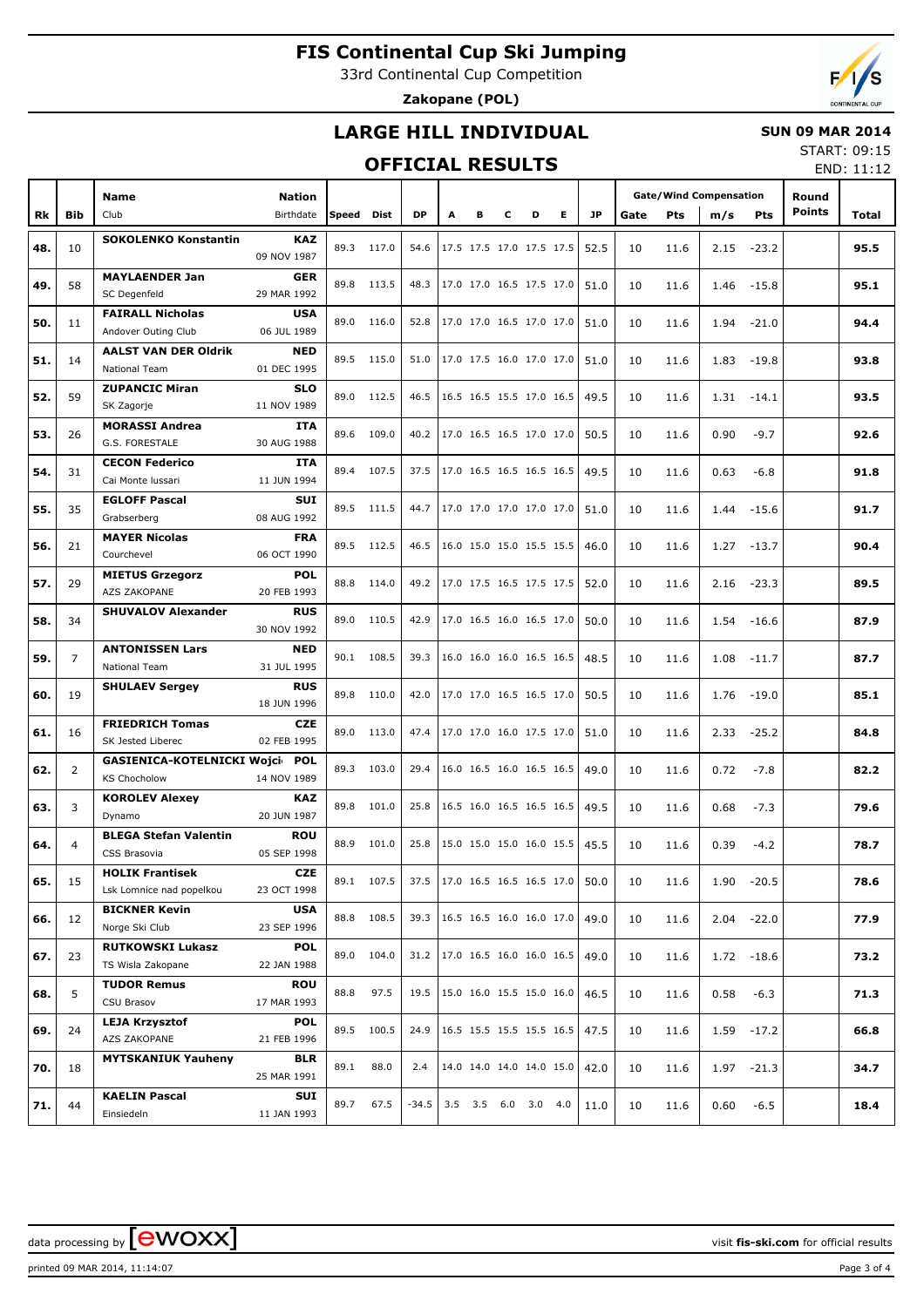33rd Continental Cup Competition

**Zakopane (POL)**



## **LARGE HILL INDIVIDUAL**

### **SUN 09 MAR 2014**

### **OFFICIAL RESULTS**

START: 09:15 END: 11:12

|     |                | <b>Name</b>                    | <b>Nation</b> |            |            |           |                                      |                          |   |   |   |      |      |            | <b>Gate/Wind Compensation</b> |               | Round         |       |
|-----|----------------|--------------------------------|---------------|------------|------------|-----------|--------------------------------------|--------------------------|---|---|---|------|------|------------|-------------------------------|---------------|---------------|-------|
|     |                |                                |               |            |            |           |                                      |                          |   |   |   |      |      |            |                               |               | <b>Points</b> |       |
| Rk  | <b>Bib</b>     | Club                           | Birthdate     | Speed Dist |            | <b>DP</b> | А                                    | в                        | c | D | Е | JP   | Gate | <b>Pts</b> | m/s                           | Pts           |               | Total |
|     |                | <b>SOKOLENKO Konstantin</b>    | <b>KAZ</b>    |            |            |           |                                      |                          |   |   |   |      |      |            |                               |               |               |       |
| 48. | 10             |                                | 09 NOV 1987   |            | 89.3 117.0 | 54.6      |                                      | 17.5 17.5 17.0 17.5 17.5 |   |   |   | 52.5 | 10   | 11.6       | 2.15                          | $-23.2$       |               | 95.5  |
|     |                | <b>MAYLAENDER Jan</b>          | <b>GER</b>    |            |            |           |                                      |                          |   |   |   |      |      |            |                               |               |               |       |
| 49. | 58             |                                | 29 MAR 1992   |            | 89.8 113.5 |           | 48.3   17.0 17.0 16.5 17.5 17.0      |                          |   |   |   | 51.0 | 10   | 11.6       | 1.46                          | $-15.8$       |               | 95.1  |
|     |                | SC Degenfeld                   |               |            |            |           |                                      |                          |   |   |   |      |      |            |                               |               |               |       |
| 50. | 11             | <b>FAIRALL Nicholas</b>        | <b>USA</b>    |            | 89.0 116.0 | 52.8      | 17.0 17.0 16.5 17.0 17.0             |                          |   |   |   | 51.0 | 10   | 11.6       | 1.94                          | $-21.0$       |               | 94.4  |
|     |                | Andover Outing Club            | 06 JUL 1989   |            |            |           |                                      |                          |   |   |   |      |      |            |                               |               |               |       |
|     |                | <b>AALST VAN DER Oldrik</b>    | <b>NED</b>    |            | 89.5 115.0 | 51.0      | 17.0 17.5 16.0 17.0 17.0             |                          |   |   |   |      |      |            |                               |               |               |       |
| 51. | 14             | <b>National Team</b>           | 01 DEC 1995   |            |            |           |                                      |                          |   |   |   | 51.0 | 10   | 11.6       | 1.83                          | -19.8         |               | 93.8  |
|     |                | <b>ZUPANCIC Miran</b>          | <b>SLO</b>    |            |            |           |                                      |                          |   |   |   |      |      |            |                               |               |               |       |
| 52. | 59             | SK Zagorje                     | 11 NOV 1989   |            | 89.0 112.5 | 46.5      | 16.5 16.5 15.5 17.0 16.5             |                          |   |   |   | 49.5 | 10   | 11.6       | 1.31                          | $-14.1$       |               | 93.5  |
|     |                | <b>MORASSI Andrea</b>          | <b>ITA</b>    |            |            |           |                                      |                          |   |   |   |      |      |            |                               |               |               |       |
| 53. | 26             | G.S. FORESTALE                 | 30 AUG 1988   |            | 89.6 109.0 |           | 40.2   17.0 16.5 16.5 17.0 17.0      |                          |   |   |   | 50.5 | 10   | 11.6       | 0.90                          | $-9.7$        |               | 92.6  |
|     |                |                                |               |            |            |           |                                      |                          |   |   |   |      |      |            |                               |               |               |       |
| 54. | 31             | <b>CECON Federico</b>          | ITA           |            | 89.4 107.5 | 37.5      | $17.0$ 16.5 16.5 16.5 16.5           |                          |   |   |   | 49.5 | 10   | 11.6       | 0.63                          | $-6.8$        |               | 91.8  |
|     |                | Cai Monte Iussari              | 11 JUN 1994   |            |            |           |                                      |                          |   |   |   |      |      |            |                               |               |               |       |
| 55. | 35             | <b>EGLOFF Pascal</b>           | <b>SUI</b>    |            | 89.5 111.5 | 44.7      | 17.0 17.0 17.0 17.0 17.0             |                          |   |   |   | 51.0 | 10   | 11.6       | 1.44                          | $-15.6$       |               | 91.7  |
|     |                | Grabserberg                    | 08 AUG 1992   |            |            |           |                                      |                          |   |   |   |      |      |            |                               |               |               |       |
|     |                | <b>MAYER Nicolas</b>           | <b>FRA</b>    |            |            |           |                                      |                          |   |   |   |      |      |            |                               |               |               |       |
| 56. | 21             | Courchevel                     | 06 OCT 1990   |            | 89.5 112.5 | 46.5      |                                      | 16.0 15.0 15.0 15.5 15.5 |   |   |   | 46.0 | 10   | 11.6       | 1.27                          | $-13.7$       |               | 90.4  |
|     |                | <b>MIETUS Grzegorz</b>         | <b>POL</b>    |            |            |           |                                      |                          |   |   |   |      |      |            |                               |               |               |       |
| 57. | 29             | AZS ZAKOPANE                   | 20 FEB 1993   |            | 88.8 114.0 |           | 49.2 17.0 17.5 16.5 17.5 17.5        |                          |   |   |   | 52.0 | 10   | 11.6       | 2.16                          | $-23.3$       |               | 89.5  |
|     |                |                                |               |            |            |           |                                      |                          |   |   |   |      |      |            |                               |               |               |       |
| 58. | 34             | <b>SHUVALOV Alexander</b>      | <b>RUS</b>    | 89.0       | 110.5      | 42.9      | 17.0 16.5 16.0 16.5 17.0             |                          |   |   |   | 50.0 | 10   | 11.6       | 1.54                          | $-16.6$       |               | 87.9  |
|     |                |                                | 30 NOV 1992   |            |            |           |                                      |                          |   |   |   |      |      |            |                               |               |               |       |
| 59. | $\overline{7}$ | <b>ANTONISSEN Lars</b>         | <b>NED</b>    |            | 90.1 108.5 | 39.3      |                                      | 16.0 16.0 16.0 16.5 16.5 |   |   |   | 48.5 | 10   | 11.6       | 1.08                          |               |               | 87.7  |
|     |                | <b>National Team</b>           | 31 JUL 1995   |            |            |           |                                      |                          |   |   |   |      |      |            |                               | $-11.7$       |               |       |
|     |                | <b>SHULAEV Sergey</b>          | <b>RUS</b>    |            |            |           |                                      |                          |   |   |   |      |      |            |                               |               |               |       |
| 60. | 19             |                                | 18 JUN 1996   |            | 89.8 110.0 | 42.0      |                                      | 17.0 17.0 16.5 16.5 17.0 |   |   |   | 50.5 | 10   | 11.6       | 1.76                          | $-19.0$       |               | 85.1  |
|     |                | <b>FRIEDRICH Tomas</b>         | <b>CZE</b>    |            |            |           |                                      |                          |   |   |   |      |      |            |                               |               |               |       |
| 61. | 16             |                                |               | 89.0       | 113.0      | 47.4      |                                      | 17.0 17.0 16.0 17.5 17.0 |   |   |   | 51.0 | 10   | 11.6       | 2.33                          | $-25.2$       |               | 84.8  |
|     |                | SK Jested Liberec              | 02 FEB 1995   |            |            |           |                                      |                          |   |   |   |      |      |            |                               |               |               |       |
| 62. | 2              | GASIENICA-KOTELNICKI Wojci POL |               |            | 89.3 103.0 | 29.4      |                                      | 16.0 16.5 16.0 16.5 16.5 |   |   |   | 49.0 | 10   | 11.6       | 0.72                          | $-7.8$        |               | 82.2  |
|     |                | <b>KS Chocholow</b>            | 14 NOV 1989   |            |            |           |                                      |                          |   |   |   |      |      |            |                               |               |               |       |
| 63. | 3              | <b>KOROLEV Alexey</b>          | <b>KAZ</b>    | 89.8       | 101.0      | 25.8      |                                      | 16.5 16.0 16.5 16.5 16.5 |   |   |   | 49.5 | 10   | 11.6       | 0.68                          | $-7.3$        |               | 79.6  |
|     |                | Dynamo                         | 20 JUN 1987   |            |            |           |                                      |                          |   |   |   |      |      |            |                               |               |               |       |
|     |                | <b>BLEGA Stefan Valentin</b>   | <b>ROU</b>    |            |            |           |                                      |                          |   |   |   |      |      |            |                               |               |               |       |
| 64. | $\overline{4}$ | CSS Brasovia                   | 05 SEP 1998   | 88.9       | 101.0      | 25.8      |                                      | 15.0 15.0 15.0 16.0 15.5 |   |   |   | 45.5 | 10   | 11.6       | 0.39                          | $-4.2$        |               | 78.7  |
|     |                | <b>HOLIK Frantisek</b>         | <b>CZE</b>    |            |            |           |                                      |                          |   |   |   |      |      |            |                               |               |               |       |
| 65. | 15             | Lsk Lomnice nad popelkou       | 23 OCT 1998   |            | 89.1 107.5 | 37.5      | $ 17.0 \t16.5 \t16.5 \t16.5 \t17.0 $ |                          |   |   |   | 50.0 | 10   | 11.6       | 1.90                          | $-20.5$       |               | 78.6  |
|     |                |                                |               |            |            |           |                                      |                          |   |   |   |      |      |            |                               |               |               |       |
| 66. | 12             | <b>BICKNER Kevin</b>           | <b>USA</b>    |            | 88.8 108.5 | 39.3      |                                      | 16.5 16.5 16.0 16.0 17.0 |   |   |   | 49.0 | 10   | 11.6       |                               | $2.04 -22.0$  |               | 77.9  |
|     |                | Norge Ski Club                 | 23 SEP 1996   |            |            |           |                                      |                          |   |   |   |      |      |            |                               |               |               |       |
| 67. | 23             | <b>RUTKOWSKI Lukasz</b>        | <b>POL</b>    |            | 89.0 104.0 | 31.2      |                                      | 17.0 16.5 16.0 16.0 16.5 |   |   |   | 49.0 | 10   | 11.6       |                               | $1.72 - 18.6$ |               | 73.2  |
|     |                | TS Wisla Zakopane              | 22 JAN 1988   |            |            |           |                                      |                          |   |   |   |      |      |            |                               |               |               |       |
|     |                | <b>TUDOR Remus</b>             | <b>ROU</b>    |            |            |           |                                      |                          |   |   |   |      |      |            |                               |               |               |       |
| 68. | 5              | CSU Brasov                     | 17 MAR 1993   | 88.8       | 97.5       | 19.5      |                                      | 15.0 16.0 15.5 15.0 16.0 |   |   |   | 46.5 | 10   | 11.6       | 0.58                          | $-6.3$        |               | 71.3  |
|     |                | <b>LEJA Krzysztof</b>          | <b>POL</b>    |            |            |           |                                      |                          |   |   |   |      |      |            |                               |               |               |       |
| 69. | 24             | AZS ZAKOPANE                   | 21 FEB 1996   |            | 89.5 100.5 | 24.9      |                                      | 16.5 15.5 15.5 15.5 16.5 |   |   |   | 47.5 | 10   | 11.6       |                               | $1.59 - 17.2$ |               | 66.8  |
|     |                |                                |               |            |            |           |                                      |                          |   |   |   |      |      |            |                               |               |               |       |
| 70. | 18             | <b>MYTSKANIUK Yauheny</b>      | <b>BLR</b>    | 89.1       | 88.0       | 2.4       |                                      | 14.0 14.0 14.0 14.0 15.0 |   |   |   | 42.0 | 10   | 11.6       |                               | $1.97 - 21.3$ |               | 34.7  |
|     |                |                                | 25 MAR 1991   |            |            |           |                                      |                          |   |   |   |      |      |            |                               |               |               |       |
| 71. | 44             | <b>KAELIN Pascal</b>           | SUI           | 89.7       | 67.5       | $-34.5$   |                                      | 3.5 3.5 6.0 3.0 4.0      |   |   |   | 11.0 | 10   | 11.6       | 0.60                          | $-6.5$        |               | 18.4  |
|     |                | Einsiedeln                     | 11 JAN 1993   |            |            |           |                                      |                          |   |   |   |      |      |            |                               |               |               |       |

printed 09 MAR 2014, 11:14:07 Page 3 of 4

data processing by **CWOXX**  $\blacksquare$